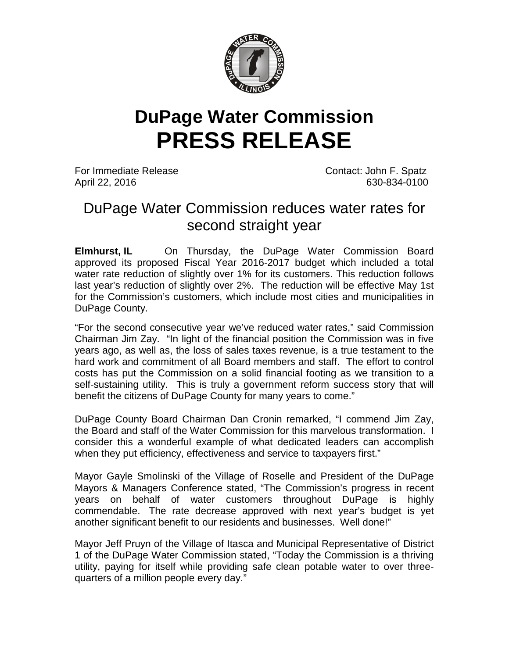

## **DuPage Water Commission PRESS RELEASE**

For Immediate Release Contact: John F. Spatz April 22, 2016 630-834-0100

## DuPage Water Commission reduces water rates for second straight year

**Elmhurst, IL** On Thursday, the DuPage Water Commission Board approved its proposed Fiscal Year 2016-2017 budget which included a total water rate reduction of slightly over 1% for its customers. This reduction follows last year's reduction of slightly over 2%. The reduction will be effective May 1st for the Commission's customers, which include most cities and municipalities in DuPage County.

"For the second consecutive year we've reduced water rates," said Commission Chairman Jim Zay. "In light of the financial position the Commission was in five years ago, as well as, the loss of sales taxes revenue, is a true testament to the hard work and commitment of all Board members and staff. The effort to control costs has put the Commission on a solid financial footing as we transition to a self-sustaining utility. This is truly a government reform success story that will benefit the citizens of DuPage County for many years to come."

DuPage County Board Chairman Dan Cronin remarked, "I commend Jim Zay, the Board and staff of the Water Commission for this marvelous transformation. I consider this a wonderful example of what dedicated leaders can accomplish when they put efficiency, effectiveness and service to taxpayers first."

Mayor Gayle Smolinski of the Village of Roselle and President of the DuPage Mayors & Managers Conference stated, "The Commission's progress in recent years on behalf of water customers throughout DuPage is highly commendable. The rate decrease approved with next year's budget is yet another significant benefit to our residents and businesses. Well done!"

Mayor Jeff Pruyn of the Village of Itasca and Municipal Representative of District 1 of the DuPage Water Commission stated, "Today the Commission is a thriving utility, paying for itself while providing safe clean potable water to over threequarters of a million people every day."